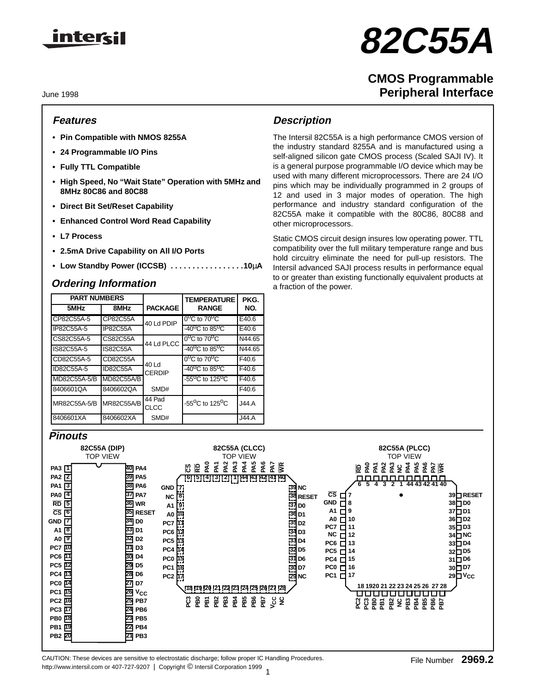

# **82C55A**

## **CMOS Programmable Peripheral Interface**

June 1998

## **Features**

- **Pin Compatible with NMOS 8255A**
- **24 Programmable I/O Pins**
- **Fully TTL Compatible**
- **High Speed, No "Wait State" Operation with 5MHz and 8MHz 80C86 and 80C88**
- **Direct Bit Set/Reset Capability**
- **Enhanced Control Word Read Capability**
- **L7 Process**
- **2.5mA Drive Capability on All I/O Ports**
- **Low Standby Power (ICCSB) . . . . . . . . . . . . . . . . .10**µ**A**

| <b>PART NUMBERS</b> |                   |                        | <b>TEMPERATURE</b>                       | PKG.   |
|---------------------|-------------------|------------------------|------------------------------------------|--------|
| 5MHz                | 8MHz              | <b>PACKAGE</b>         | <b>RANGE</b>                             | NO.    |
| CP82C55A-5          | CP82C55A          | 40 Ld PDIP             | $0^{\circ}$ C to 70 $^{\circ}$ C         | E40.6  |
| IP82C55A-5          | <b>IP82C55A</b>   |                        | $-40^{\circ}$ C to 85 <sup>o</sup> C     | E40.6  |
| CS82C55A-5          | CS82C55A          | 44 Ld PLCC             | $0^{\circ}$ C to 70 <sup>o</sup> C       | N44.65 |
| IS82C55A-5          | <b>IS82C55A</b>   |                        | $-40^{\circ}$ C to 85 <sup>o</sup> C     | N44.65 |
| CD82C55A-5          | CD82C55A          |                        | $0^{\circ}$ C to 70 <sup>o</sup> C       | F40.6  |
| ID82C55A-5          | <b>ID82C55A</b>   | 40 Ld<br><b>CERDIP</b> | $-40^{\circ}$ C to 85 $^{\circ}$ C       | F40.6  |
| MD82C55A-5/B        | <b>MD82C55A/B</b> |                        | -55 <sup>o</sup> C to 125 <sup>o</sup> C | F40.6  |
| 8406601QA           | 8406602QA         | SMD#                   |                                          | F40.6  |
| MR82C55A-5/B        | <b>MR82C55A/B</b> | 44 Pad<br>CLCC         | -55 <sup>o</sup> C to 125 <sup>o</sup> C | J44.A  |
| 8406601XA           | 8406602XA         | SMD#                   |                                          | J44.A  |

## **Description**

The Intersil 82C55A is a high performance CMOS version of the industry standard 8255A and is manufactured using a self-aligned silicon gate CMOS process (Scaled SAJI IV). It is a general purpose programmable I/O device which may be used with many different microprocessors. There are 24 I/O pins which may be individually programmed in 2 groups of 12 and used in 3 major modes of operation. The high performance and industry standard configuration of the 82C55A make it compatible with the 80C86, 80C88 and other microprocessors.

Static CMOS circuit design insures low operating power. TTL compatibility over the full military temperature range and bus hold circuitry eliminate the need for pull-up resistors. The Intersil advanced SAJI process results in performance equal to or greater than existing functionally equivalent products at **Ordering Information** a fraction of the power.

## **Pinouts**

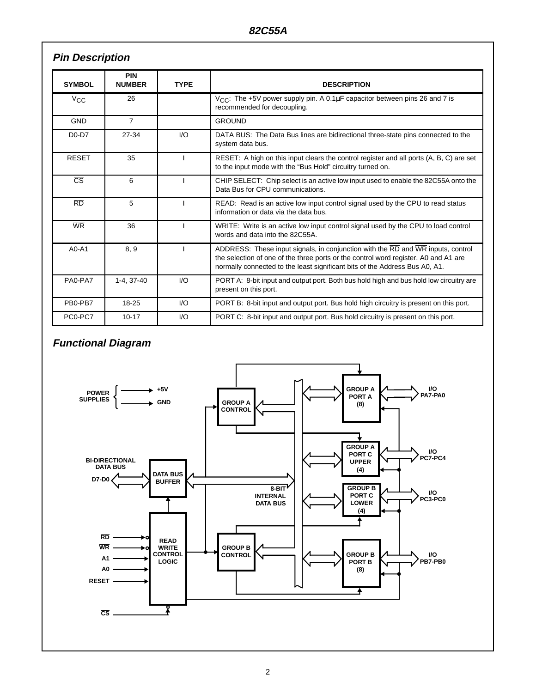## **Pin Description**

| <b>SYMBOL</b>          | <b>PIN</b><br><b>NUMBER</b> | <b>TYPE</b> | <b>DESCRIPTION</b>                                                                                                                                                                                                                                    |
|------------------------|-----------------------------|-------------|-------------------------------------------------------------------------------------------------------------------------------------------------------------------------------------------------------------------------------------------------------|
| $V_{\rm CC}$           | 26                          |             | $V_{CC}$ : The +5V power supply pin. A 0.1 $\mu$ F capacitor between pins 26 and 7 is<br>recommended for decoupling.                                                                                                                                  |
| <b>GND</b>             | $\overline{7}$              |             | <b>GROUND</b>                                                                                                                                                                                                                                         |
| $D0-D7$                | 27-34                       | I/O         | DATA BUS: The Data Bus lines are bidirectional three-state pins connected to the<br>system data bus.                                                                                                                                                  |
| <b>RESET</b>           | 35                          |             | RESET: A high on this input clears the control register and all ports (A, B, C) are set<br>to the input mode with the "Bus Hold" circuitry turned on.                                                                                                 |
| $\overline{\text{CS}}$ | 6                           |             | CHIP SELECT: Chip select is an active low input used to enable the 82C55A onto the<br>Data Bus for CPU communications.                                                                                                                                |
| $\overline{RD}$        | 5                           |             | READ: Read is an active low input control signal used by the CPU to read status<br>information or data via the data bus.                                                                                                                              |
| <b>WR</b>              | 36                          |             | WRITE: Write is an active low input control signal used by the CPU to load control<br>words and data into the 82C55A.                                                                                                                                 |
| $AO-A1$                | 8, 9                        |             | ADDRESS: These input signals, in conjunction with the RD and WR inputs, control<br>the selection of one of the three ports or the control word register. A0 and A1 are<br>normally connected to the least significant bits of the Address Bus A0, A1. |
| PA0-PA7                | 1-4, 37-40                  | I/O         | PORT A: 8-bit input and output port. Both bus hold high and bus hold low circuitry are<br>present on this port.                                                                                                                                       |
| PB0-PB7                | 18-25                       | I/O         | PORT B: 8-bit input and output port. Bus hold high circuitry is present on this port.                                                                                                                                                                 |
| PC0-PC7                | $10 - 17$                   | I/O         | PORT C: 8-bit input and output port. Bus hold circuitry is present on this port.                                                                                                                                                                      |

## **Functional Diagram**

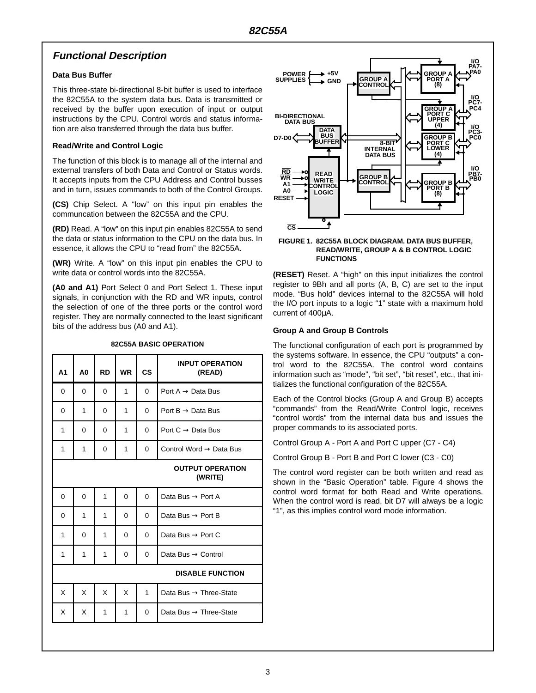## **Functional Description**

#### **Data Bus Buffer**

This three-state bi-directional 8-bit buffer is used to interface the 82C55A to the system data bus. Data is transmitted or received by the buffer upon execution of input or output instructions by the CPU. Control words and status information are also transferred through the data bus buffer.

#### **Read/Write and Control Logic**

The function of this block is to manage all of the internal and external transfers of both Data and Control or Status words. It accepts inputs from the CPU Address and Control busses and in turn, issues commands to both of the Control Groups.

**(CS)** Chip Select. A "low" on this input pin enables the communcation between the 82C55A and the CPU.

**(RD)** Read. A "low" on this input pin enables 82C55A to send the data or status information to the CPU on the data bus. In essence, it allows the CPU to "read from" the 82C55A.

**(WR)** Write. A "low" on this input pin enables the CPU to write data or control words into the 82C55A.

**(A0 and A1)** Port Select 0 and Port Select 1. These input signals, in conjunction with the RD and WR inputs, control the selection of one of the three ports or the control word register. They are normally connected to the least significant bits of the address bus (A0 and A1).

**82C55A BASIC OPERATION**

## **A1 A0 RD WR CS INPUT OPERATION (READ)** 0 0 0 0 1 0 Dort A → Data Bus 0 | 1 | 0 | 1 | 0 | Port B → Data Bus  $1 \mid 0 \mid 0 \mid 1 \mid 0$  | Port C  $\rightarrow$  Data Bus  $1 \mid 1 \mid 0 \mid 1 \mid 0$  Control Word  $\rightarrow$  Data Bus **OUTPUT OPERATION (WRITE)** 0 | 0 | 1 | 0 | 0 | Data Bus → Port A 0 | 1 | 1 | 0 | 0 | Data Bus → Port B 1 | 0 | 1 | 0 | 0 | Data Bus → Port C 1 | 1 | 1 | 0 | 0 | Data Bus → Control **DISABLE FUNCTION**  $X \mid X \mid X \mid X \mid 1$  Data Bus  $\rightarrow$  Three-State  $X \mid X \mid 1 \mid 1 \mid 0$  Data Bus  $\rightarrow$  Three-State



#### **FIGURE 1. 82C55A BLOCK DIAGRAM. DATA BUS BUFFER, READ/WRITE, GROUP A & B CONTROL LOGIC FUNCTIONS**

**(RESET)** Reset. A "high" on this input initializes the control register to 9Bh and all ports (A, B, C) are set to the input mode. "Bus hold" devices internal to the 82C55A will hold the I/O port inputs to a logic "1" state with a maximum hold current of 400µA.

### **Group A and Group B Controls**

The functional configuration of each port is programmed by the systems software. In essence, the CPU "outputs" a control word to the 82C55A. The control word contains information such as "mode", "bit set", "bit reset", etc., that initializes the functional configuration of the 82C55A.

Each of the Control blocks (Group A and Group B) accepts "commands" from the Read/Write Control logic, receives "control words" from the internal data bus and issues the proper commands to its associated ports.

Control Group A - Port A and Port C upper (C7 - C4)

Control Group B - Port B and Port C lower (C3 - C0)

The control word register can be both written and read as shown in the "Basic Operation" table. Figure 4 shows the control word format for both Read and Write operations. When the control word is read, bit D7 will always be a logic "1", as this implies control word mode information.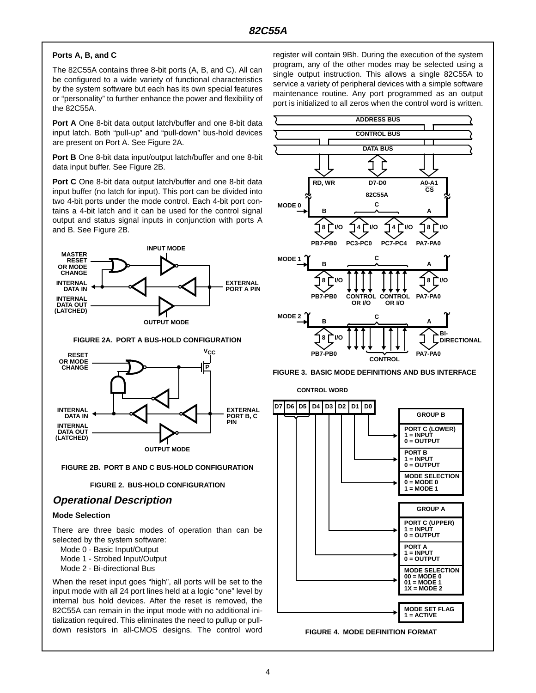#### **Ports A, B, and C**

The 82C55A contains three 8-bit ports (A, B, and C). All can be configured to a wide variety of functional characteristics by the system software but each has its own special features or "personality" to further enhance the power and flexibility of the 82C55A.

**Port A** One 8-bit data output latch/buffer and one 8-bit data input latch. Both "pull-up" and "pull-down" bus-hold devices are present on Port A. See Figure 2A.

**Port B** One 8-bit data input/output latch/buffer and one 8-bit data input buffer. See Figure 2B.

**Port C** One 8-bit data output latch/buffer and one 8-bit data input buffer (no latch for input). This port can be divided into two 4-bit ports under the mode control. Each 4-bit port contains a 4-bit latch and it can be used for the control signal output and status signal inputs in conjunction with ports A and B. See Figure 2B.



**FIGURE 2A. PORT A BUS-HOLD CONFIGURATION**



**FIGURE 2B. PORT B AND C BUS-HOLD CONFIGURATION**

#### **FIGURE 2. BUS-HOLD CONFIGURATION**

## **Operational Description**

#### **Mode Selection**

There are three basic modes of operation than can be selected by the system software:

- Mode 0 Basic Input/Output
- Mode 1 Strobed Input/Output
- Mode 2 Bi-directional Bus

When the reset input goes "high", all ports will be set to the input mode with all 24 port lines held at a logic "one" level by internal bus hold devices. After the reset is removed, the 82C55A can remain in the input mode with no additional initialization required. This eliminates the need to pullup or pulldown resistors in all-CMOS designs. The control word

register will contain 9Bh. During the execution of the system program, any of the other modes may be selected using a single output instruction. This allows a single 82C55A to service a variety of peripheral devices with a simple software maintenance routine. Any port programmed as an output port is initialized to all zeros when the control word is written.



**FIGURE 3. BASIC MODE DEFINITIONS AND BUS INTERFACE**

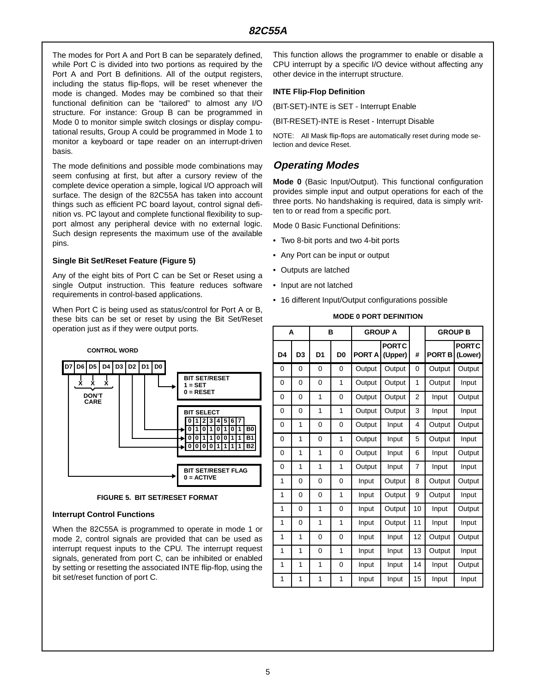The modes for Port A and Port B can be separately defined, while Port C is divided into two portions as required by the Port A and Port B definitions. All of the output registers, including the status flip-flops, will be reset whenever the mode is changed. Modes may be combined so that their functional definition can be "tailored" to almost any I/O structure. For instance: Group B can be programmed in Mode 0 to monitor simple switch closings or display computational results, Group A could be programmed in Mode 1 to monitor a keyboard or tape reader on an interrupt-driven basis.

The mode definitions and possible mode combinations may seem confusing at first, but after a cursory review of the complete device operation a simple, logical I/O approach will surface. The design of the 82C55A has taken into account things such as efficient PC board layout, control signal definition vs. PC layout and complete functional flexibility to support almost any peripheral device with no external logic. Such design represents the maximum use of the available pins.

#### **Single Bit Set/Reset Feature (Figure 5)**

Any of the eight bits of Port C can be Set or Reset using a single Output instruction. This feature reduces software requirements in control-based applications.

When Port C is being used as status/control for Port A or B, these bits can be set or reset by using the Bit Set/Reset operation just as if they were output ports.



**FIGURE 5. BIT SET/RESET FORMAT**

#### **Interrupt Control Functions**

When the 82C55A is programmed to operate in mode 1 or mode 2, control signals are provided that can be used as interrupt request inputs to the CPU. The interrupt request signals, generated from port C, can be inhibited or enabled by setting or resetting the associated INTE flip-flop, using the bit set/reset function of port C.

This function allows the programmer to enable or disable a CPU interrupt by a specific I/O device without affecting any other device in the interrupt structure.

#### **INTE Flip-Flop Definition**

(BIT-SET)-INTE is SET - Interrupt Enable

(BIT-RESET)-INTE is Reset - Interrupt Disable

NOTE: All Mask flip-flops are automatically reset during mode selection and device Reset.

## **Operating Modes**

**Mode 0** (Basic Input/Output). This functional configuration provides simple input and output operations for each of the three ports. No handshaking is required, data is simply written to or read from a specific port.

Mode 0 Basic Functional Definitions:

- Two 8-bit ports and two 4-bit ports
- Any Port can be input or output
- Outputs are latched
- Input are not latched
- 16 different Input/Output configurations possible

#### **MODE 0 PORT DEFINITION**

|                | A              |                | B              | <b>GROUP A</b> |                         |                |               | <b>GROUP B</b>          |
|----------------|----------------|----------------|----------------|----------------|-------------------------|----------------|---------------|-------------------------|
| D <sub>4</sub> | D <sub>3</sub> | D <sub>1</sub> | D <sub>0</sub> | <b>PORT A</b>  | <b>PORTC</b><br>(Upper) | #              | <b>PORT B</b> | <b>PORTC</b><br>(Lower) |
| 0              | 0              | 0              | 0              | Output         | Output                  | $\Omega$       | Output        | Output                  |
| 0              | 0              | 0              | 1              | Output         | Output                  | 1              | Output        | Input                   |
| 0              | 0              | 1              | 0              | Output         | Output                  | $\overline{2}$ | Input         | Output                  |
| 0              | 0              | $\mathbf{1}$   | 1              | Output         | Output                  | 3              | Input         | Input                   |
| 0              | 1              | 0              | 0              | Output         | Input                   | 4              | Output        | Output                  |
| 0              | 1              | 0              | 1              | Output         | Input                   | 5              | Output        | Input                   |
| 0              | 1              | $\mathbf{1}$   | 0              | Output         | Input                   | 6              | Input         | Output                  |
| 0              | 1              | 1              | 1              | Output         | Input                   | 7              | Input         | Input                   |
| 1              | 0              | 0              | 0              | Input          | Output                  | 8              | Output        | Output                  |
| 1              | 0              | 0              | 1              | Input          | Output                  | 9              | Output        | Input                   |
| 1              | 0              | $\mathbf{1}$   | 0              | Input          | Output                  | 10             | Input         | Output                  |
| 1              | 0              | $\mathbf{1}$   | 1              | Input          | Output                  | 11             | Input         | Input                   |
| 1              | 1              | 0              | 0              | Input          | Input                   | 12             | Output        | Output                  |
| 1              | 1              | 0              | 1              | Input          | Input                   | 13             | Output        | Input                   |
| 1              | 1              | $\mathbf{1}$   | 0              | Input          | Input                   | 14             | Input         | Output                  |
| 1              | 1              | $\overline{1}$ | 1              | Input          | Input                   | 15             | Input         | Input                   |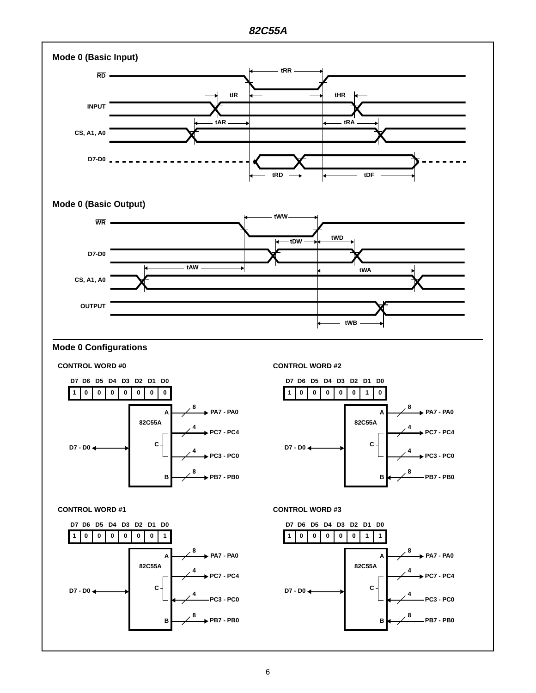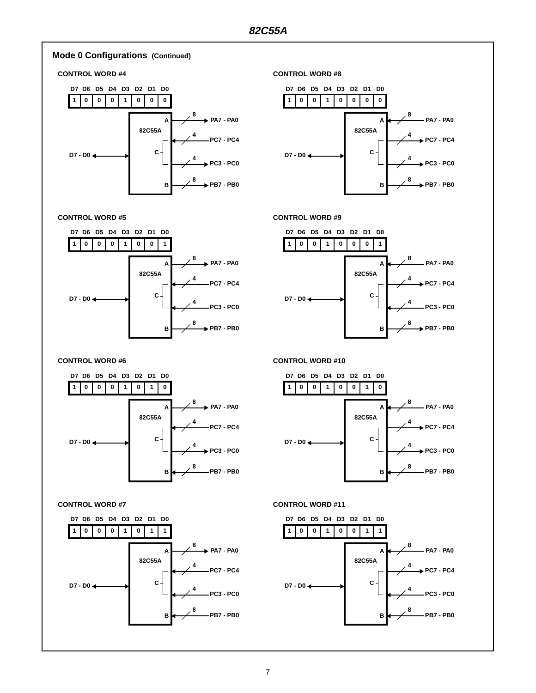

#### 7

**8**

**B**

**PB7 - PB0**

**8**

**B**

**PB7 - PB0**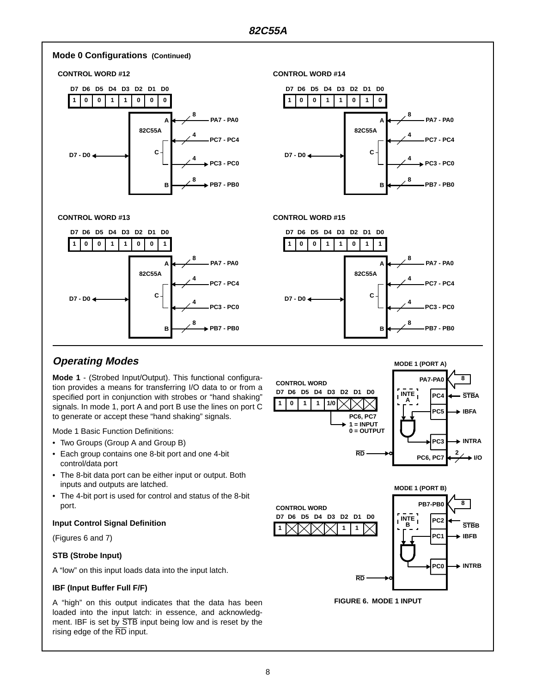

## **Operating Modes**

**Mode 1** - (Strobed Input/Output). This functional configuration provides a means for transferring I/O data to or from a specified port in conjunction with strobes or "hand shaking" signals. In mode 1, port A and port B use the lines on port C to generate or accept these "hand shaking" signals.

Mode 1 Basic Function Definitions:

- Two Groups (Group A and Group B)
- Each group contains one 8-bit port and one 4-bit control/data port
- The 8-bit data port can be either input or output. Both inputs and outputs are latched.
- The 4-bit port is used for control and status of the 8-bit port.

#### **Input Control Signal Definition**

(Figures 6 and 7)

### **STB (Strobe Input)**

A "low" on this input loads data into the input latch.

#### **IBF (Input Buffer Full F/F)**

A "high" on this output indicates that the data has been loaded into the input latch: in essence, and acknowledgment. IBF is set by  $\overline{\text{STB}}$  input being low and is reset by the rising edge of the  $\overline{\text{RD}}$  input.





**FIGURE 6. MODE 1 INPUT**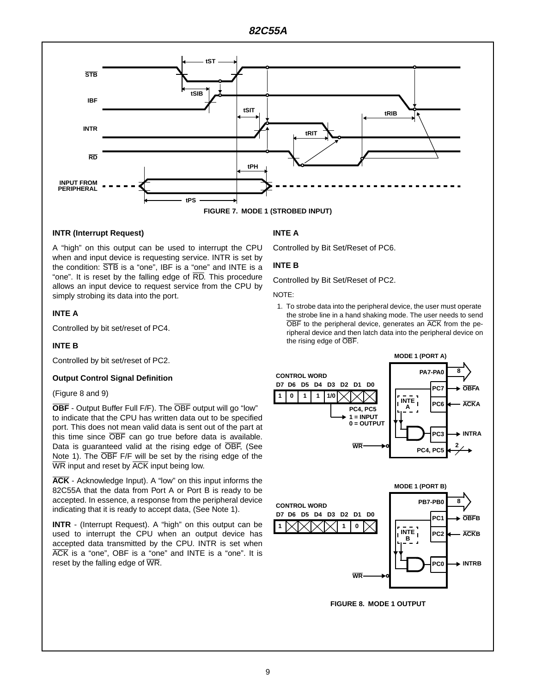

#### **INTR (Interrupt Request)**

A "high" on this output can be used to interrupt the CPU when and input device is requesting service. INTR is set by the condition: STB is a "one", IBF is a "one" and INTE is a "one". It is reset by the falling edge of  $\overline{RD}$ . This procedure allows an input device to request service from the CPU by simply strobing its data into the port.

#### **INTE A**

Controlled by bit set/reset of PC4.

#### **INTE B**

Controlled by bit set/reset of PC2.

#### **Output Control Signal Definition**

#### (Figure 8 and 9)

**OBF** - Output Buffer Full F/F). The OBF output will go "low" to indicate that the CPU has written data out to be specified port. This does not mean valid data is sent out of the part at this time since OBF can go true before data is available. Data is guaranteed valid at the rising edge of OBF, (See Note 1). The OBF F/F will be set by the rising edge of the  $\overline{\text{WR}}$  input and reset by  $\overline{\text{ACK}}$  input being low.

**ACK** - Acknowledge Input). A "low" on this input informs the 82C55A that the data from Port A or Port B is ready to be accepted. In essence, a response from the peripheral device indicating that it is ready to accept data, (See Note 1).

**INTR** - (Interrupt Request). A "high" on this output can be used to interrupt the CPU when an output device has accepted data transmitted by the CPU. INTR is set when ACK is a "one", OBF is a "one" and INTE is a "one". It is reset by the falling edge of WR.

### **INTE A**

Controlled by Bit Set/Reset of PC6.

#### **INTE B**

Controlled by Bit Set/Reset of PC2.

#### NOTE:

1. To strobe data into the peripheral device, the user must operate the strobe line in a hand shaking mode. The user needs to send  $\overline{\text{OBF}}$  to the peripheral device, generates an  $\overline{\text{ACK}}$  from the peripheral device and then latch data into the peripheral device on the rising edge of OBF.



**FIGURE 8. MODE 1 OUTPUT**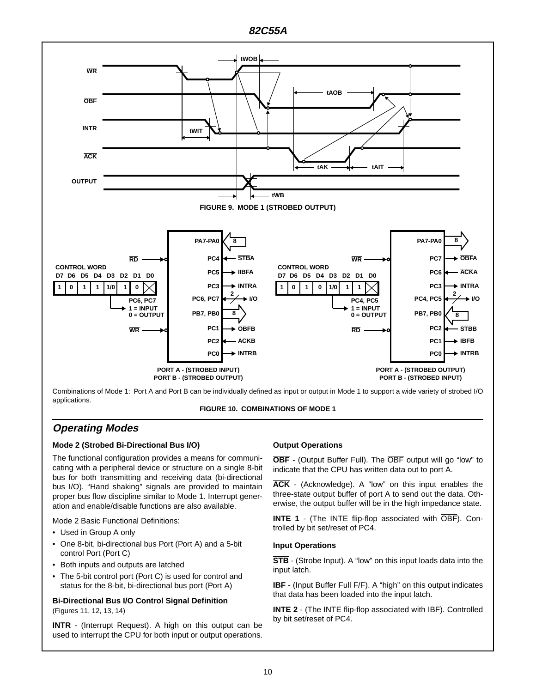

Combinations of Mode 1: Port A and Port B can be individually defined as input or output in Mode 1 to support a wide variety of strobed I/O applications.



## **Operating Modes**

#### **Mode 2 (Strobed Bi-Directional Bus I/O)**

The functional configuration provides a means for communicating with a peripheral device or structure on a single 8-bit bus for both transmitting and receiving data (bi-directional bus I/O). "Hand shaking" signals are provided to maintain proper bus flow discipline similar to Mode 1. Interrupt generation and enable/disable functions are also available.

Mode 2 Basic Functional Definitions:

- Used in Group A only
- One 8-bit, bi-directional bus Port (Port A) and a 5-bit control Port (Port C)
- Both inputs and outputs are latched
- The 5-bit control port (Port C) is used for control and status for the 8-bit, bi-directional bus port (Port A)

#### **Bi-Directional Bus I/O Control Signal Definition** (Figures 11, 12, 13, 14)

**INTR** - (Interrupt Request). A high on this output can be used to interrupt the CPU for both input or output operations.

### **Output Operations**

**OBF** - (Output Buffer Full). The OBF output will go "low" to indicate that the CPU has written data out to port A.

**ACK** - (Acknowledge). A "low" on this input enables the three-state output buffer of port A to send out the data. Otherwise, the output buffer will be in the high impedance state.

**INTE 1** - (The INTE flip-flop associated with OBF). Controlled by bit set/reset of PC4.

#### **Input Operations**

**STB** - (Strobe Input). A "low" on this input loads data into the input latch.

**IBF** - (Input Buffer Full F/F). A "high" on this output indicates that data has been loaded into the input latch.

**INTE 2** - (The INTE flip-flop associated with IBF). Controlled by bit set/reset of PC4.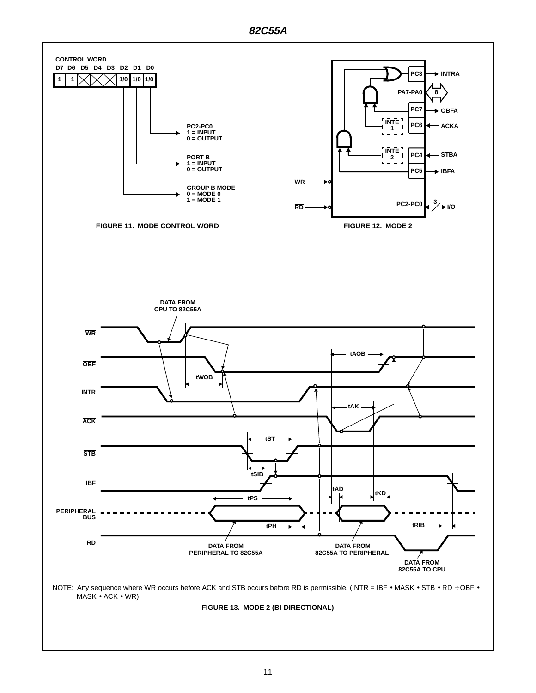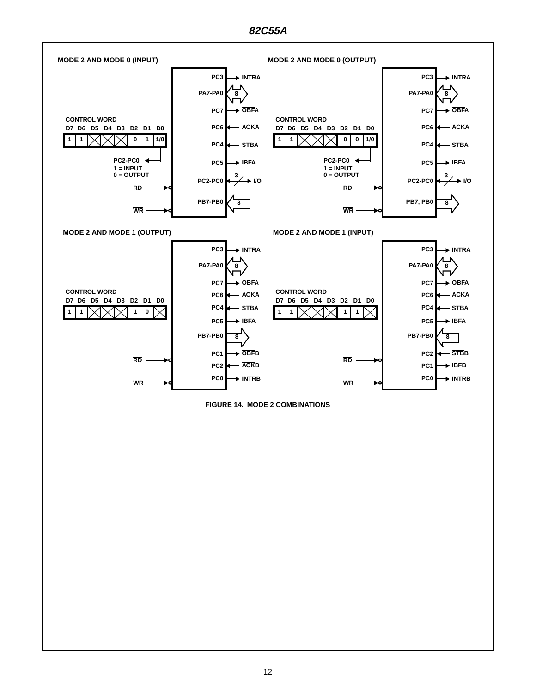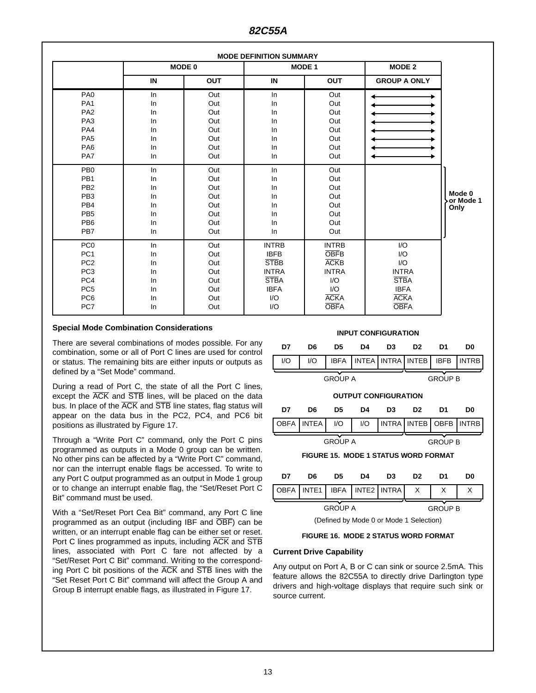|                                                                                                                                          | <b>MODE DEFINITION SUMMARY</b>               |                                                      |                                                                                                                            |                                                                                                        |                                                                                                                   |                             |
|------------------------------------------------------------------------------------------------------------------------------------------|----------------------------------------------|------------------------------------------------------|----------------------------------------------------------------------------------------------------------------------------|--------------------------------------------------------------------------------------------------------|-------------------------------------------------------------------------------------------------------------------|-----------------------------|
|                                                                                                                                          |                                              | <b>MODE 0</b>                                        | <b>MODE 1</b>                                                                                                              |                                                                                                        | <b>MODE 2</b>                                                                                                     |                             |
|                                                                                                                                          | IN                                           | <b>OUT</b>                                           | IN                                                                                                                         | <b>OUT</b>                                                                                             | <b>GROUP A ONLY</b>                                                                                               |                             |
| PA <sub>0</sub><br>PA <sub>1</sub><br>PA <sub>2</sub><br>PA <sub>3</sub><br>PA4<br>PA <sub>5</sub><br>PA <sub>6</sub><br>PA7             | In<br>In<br>In<br>In<br>In<br>In<br>In<br>ln | Out<br>Out<br>Out<br>Out<br>Out<br>Out<br>Out<br>Out | In<br>In<br>In<br>ln<br>ln<br>In<br>In<br>In                                                                               | Out<br>Out<br>Out<br>Out<br>Out<br>Out<br>Out<br>Out                                                   |                                                                                                                   |                             |
| PB <sub>0</sub><br>PB <sub>1</sub><br>PB <sub>2</sub><br>PB <sub>3</sub><br>PB <sub>4</sub><br>PB <sub>5</sub><br>PB <sub>6</sub><br>PB7 | ln<br>In<br>In<br>In<br>In<br>In<br>In<br>In | Out<br>Out<br>Out<br>Out<br>Out<br>Out<br>Out<br>Out | ln<br>In<br>In<br>In<br>ln<br>ln<br>In<br>In                                                                               | Out<br>Out<br>Out<br>Out<br>Out<br>Out<br>Out<br>Out                                                   |                                                                                                                   | Mode 0<br>or Mode 1<br>Only |
| PC <sub>0</sub><br>PC <sub>1</sub><br>PC <sub>2</sub><br>PC <sub>3</sub><br>PC4<br>PC <sub>5</sub><br>PC <sub>6</sub><br>PC7             | In<br>In<br>In<br>In<br>In<br>In<br>In<br>In | Out<br>Out<br>Out<br>Out<br>Out<br>Out<br>Out<br>Out | <b>INTRB</b><br><b>IBFB</b><br><b>STBB</b><br><b>INTRA</b><br><b>STBA</b><br><b>IBFA</b><br>$\mathsf{I}/\mathsf{O}$<br>I/O | <b>INTRB</b><br><b>OBFB</b><br><b>ACKB</b><br><b>INTRA</b><br>I/O<br>1/O<br><b>ACKA</b><br><b>OBFA</b> | I/O<br>I/O<br>$\mathsf{I}/\mathsf{O}$<br><b>INTRA</b><br><b>STBA</b><br><b>IBFA</b><br><b>ACKA</b><br><b>OBFA</b> |                             |

#### **Special Mode Combination Considerations**

There are several combinations of modes possible. For any combination, some or all of Port C lines are used for control or status. The remaining bits are either inputs or outputs as defined by a "Set Mode" command.

During a read of Port C, the state of all the Port C lines, except the  $\overline{ACK}$  and  $\overline{STB}$  lines, will be placed on the data bus. In place of the  $\overline{ACK}$  and  $\overline{STE}$  line states, flag status will appear on the data bus in the PC2, PC4, and PC6 bit positions as illustrated by Figure 17.

Through a "Write Port C" command, only the Port C pins programmed as outputs in a Mode 0 group can be written. No other pins can be affected by a "Write Port C" command, nor can the interrupt enable flags be accessed. To write to any Port C output programmed as an output in Mode 1 group or to change an interrupt enable flag, the "Set/Reset Port C Bit" command must be used.

With a "Set/Reset Port Cea Bit" command, any Port C line programmed as an output (including IBF and OBF) can be written, or an interrupt enable flag can be either set or reset. Port C lines programmed as inputs, including ACK and STB lines, associated with Port C fare not affected by a "Set/Reset Port C Bit" command. Writing to the corresponding Port C bit positions of the ACK and STB lines with the "Set Reset Port C Bit" command will affect the Group A and Group B interrupt enable flags, as illustrated in Figure 17.







#### **Current Drive Capability**

Any output on Port A, B or C can sink or source 2.5mA. This feature allows the 82C55A to directly drive Darlington type drivers and high-voltage displays that require such sink or source current.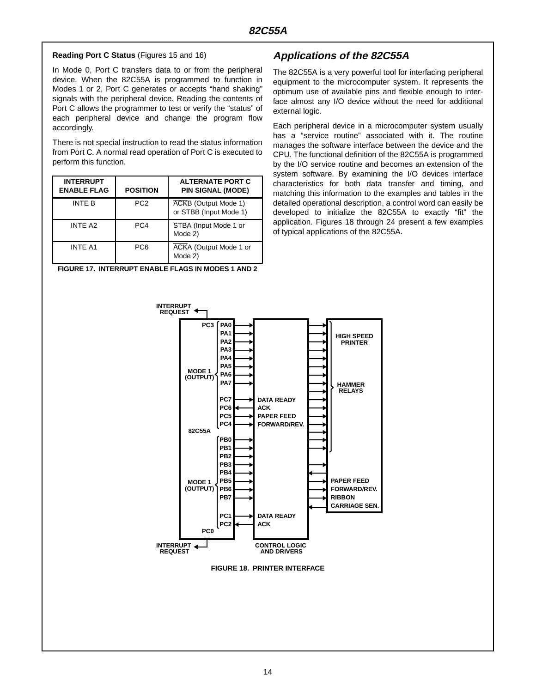#### **Reading Port C Status** (Figures 15 and 16)

In Mode 0, Port C transfers data to or from the peripheral device. When the 82C55A is programmed to function in Modes 1 or 2, Port C generates or accepts "hand shaking" signals with the peripheral device. Reading the contents of Port C allows the programmer to test or verify the "status" of each peripheral device and change the program flow accordingly.

There is not special instruction to read the status information from Port C. A normal read operation of Port C is executed to perform this function.

| <b>INTERRUPT</b><br><b>ENABLE FLAG</b> | <b>POSITION</b> | <b>ALTERNATE PORT C</b><br><b>PIN SIGNAL (MODE)</b> |
|----------------------------------------|-----------------|-----------------------------------------------------|
| INTF B                                 | PC <sub>2</sub> | ACKB (Output Mode 1)<br>or STBB (Input Mode 1)      |
| INTF A <sub>2</sub>                    | PC <sub>4</sub> | STBA (Input Mode 1 or<br>Mode 2)                    |
| <b>INTE A1</b>                         | PC <sub>6</sub> | <b>ACKA</b> (Output Mode 1 or<br>Mode 2)            |

**FIGURE 17. INTERRUPT ENABLE FLAGS IN MODES 1 AND 2**

## **Applications of the 82C55A**

The 82C55A is a very powerful tool for interfacing peripheral equipment to the microcomputer system. It represents the optimum use of available pins and flexible enough to interface almost any I/O device without the need for additional external logic.

Each peripheral device in a microcomputer system usually has a "service routine" associated with it. The routine manages the software interface between the device and the CPU. The functional definition of the 82C55A is programmed by the I/O service routine and becomes an extension of the system software. By examining the I/O devices interface characteristics for both data transfer and timing, and matching this information to the examples and tables in the detailed operational description, a control word can easily be developed to initialize the 82C55A to exactly "fit" the application. Figures 18 through 24 present a few examples of typical applications of the 82C55A.



**FIGURE 18. PRINTER INTERFACE**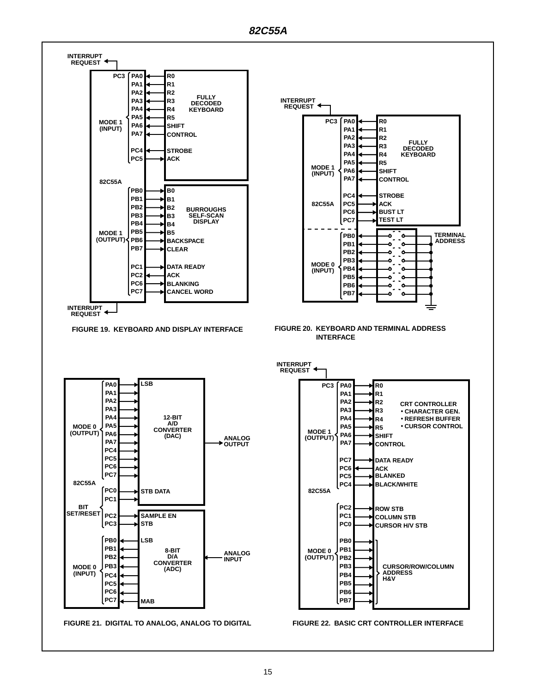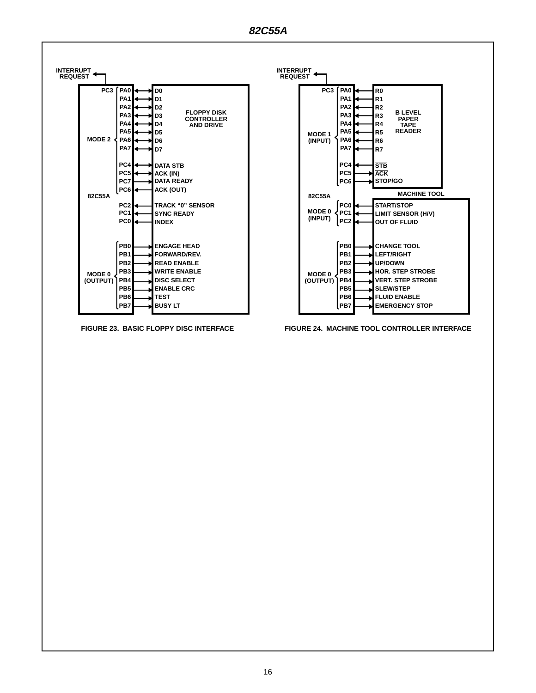



**FIGURE 23. BASIC FLOPPY DISC INTERFACE FIGURE 24. MACHINE TOOL CONTROLLER INTERFACE**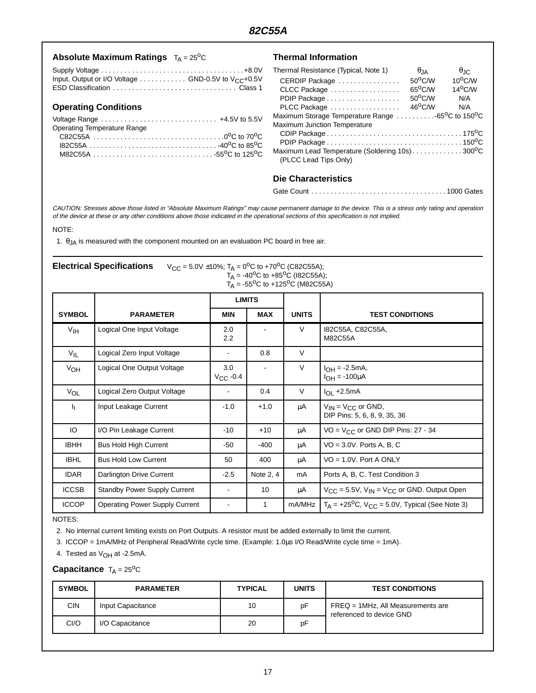|  | Absolute Maximum Ratings $T_A = 25^{\circ}C$ |  |  |
|--|----------------------------------------------|--|--|
|--|----------------------------------------------|--|--|

#### Supply Voltage . . . . . . . . . . . . . . . . . . . . . . . . . . . . . . . . . . . . .+8.0V Input, Output or I/O Voltage  $\ldots \ldots \ldots \ldots$  GND-0.5V to V<sub>CC</sub>+0.5V ESD Classification . . . . . . . . . . . . . . . . . . . . . . . . . . . . . . . . Class 1

#### **Operating Conditions**

| Operating Temperature Range |  |
|-----------------------------|--|
|                             |  |
|                             |  |
|                             |  |

#### **Thermal Information**

| Thermal Resistance (Typical, Note 1)                                      | $\theta$ . IA    | $\theta$ <sub>JC</sub> |
|---------------------------------------------------------------------------|------------------|------------------------|
| CERDIP Package                                                            | 50°C/W           | $10^{\circ}$ C/W       |
| CLCC Package                                                              | $65^{\circ}$ C/W | $14^{\circ}$ C/W       |
| PDIP Package                                                              | $50^{\circ}$ C/W | N/A                    |
| PLCC Package                                                              | $46^{\circ}$ C/W | N/A                    |
| Maximum Storage Temperature Range 65 <sup>o</sup> C to 150 <sup>o</sup> C |                  |                        |
| Maximum Junction Temperature                                              |                  |                        |
|                                                                           |                  |                        |
|                                                                           |                  |                        |
| Maximum Lead Temperature (Soldering 10s)300°C<br>(PLCC Lead Tips Only)    |                  |                        |

## **Die Characteristics**

```
Gate Count . . . . . . . . . . . . . . . . . . . . . . . . . . . . . . . . . . . 1000 Gates
```
CAUTION: Stresses above those listed in "Absolute Maximum Ratings" may cause permanent damage to the device. This is <sup>a</sup> stress only rating and operation of the device at these or any other conditions above those indicated in the operational sections of this specification is not implied.

#### NOTE:

1.  $\theta_{JA}$  is measured with the component mounted on an evaluation PC board in free air.

| <b>Electrical Specifications</b> | $V_{CC}$ = 5.0V ±10%; T <sub>A</sub> = 0 <sup>o</sup> C to +70 <sup>o</sup> C (C82C55A); |
|----------------------------------|------------------------------------------------------------------------------------------|
|                                  | $T_A$ = -40 <sup>o</sup> C to +85 <sup>o</sup> C (182C55A);                              |
|                                  | $T_A$ = -55 <sup>o</sup> C to +125 <sup>o</sup> C (M82C55A)                              |

|                 |                                       | <b>LIMITS</b>        |              |              |                                                                   |
|-----------------|---------------------------------------|----------------------|--------------|--------------|-------------------------------------------------------------------|
| <b>SYMBOL</b>   | <b>PARAMETER</b>                      | <b>MIN</b>           | <b>MAX</b>   | <b>UNITS</b> | <b>TEST CONDITIONS</b>                                            |
| V <sub>IH</sub> | Logical One Input Voltage             | 2.0<br>2.2           |              | V            | 182C55A, C82C55A,<br>M82C55A                                      |
| $V_{IL}$        | Logical Zero Input Voltage            | $\blacksquare$       | 0.8          | $\vee$       |                                                                   |
| V <sub>OH</sub> | Logical One Output Voltage            | 3.0<br>$V_{CC}$ -0.4 |              | V            | $I_{OH} = -2.5mA,$<br>$I_{OH} = -100 \mu A$                       |
| VOL             | Logical Zero Output Voltage           | ۰                    | 0.4          | V            | $I_{OL}$ +2.5mA                                                   |
| Τη.             | Input Leakage Current                 | $-1.0$               | $+1.0$       | μA           | $V_{IN} = V_{CC}$ or GND,<br>DIP Pins: 5, 6, 8, 9, 35, 36         |
| IO              | I/O Pin Leakage Current               | -10                  | $+10$        | μA           | VO = $V_{CC}$ or GND DIP Pins: 27 - 34                            |
| <b>IBHH</b>     | <b>Bus Hold High Current</b>          | -50                  | $-400$       | μA           | $VO = 3.0V$ . Ports A, B, C                                       |
| <b>IBHL</b>     | <b>Bus Hold Low Current</b>           | 50                   | 400          | μA           | $VO = 1.0V$ . Port A ONLY                                         |
| <b>IDAR</b>     | Darlington Drive Current              | $-2.5$               | Note 2, 4    | mA           | Ports A, B, C. Test Condition 3                                   |
| <b>ICCSB</b>    | <b>Standby Power Supply Current</b>   | ۰                    | 10           | μA           | $V_{CC}$ = 5.5V, $V_{IN}$ = $V_{CC}$ or GND. Output Open          |
| <b>ICCOP</b>    | <b>Operating Power Supply Current</b> | $\blacksquare$       | $\mathbf{1}$ | mA/MHz       | $T_A$ = +25 <sup>o</sup> C, $V_{CC}$ = 5.0V, Typical (See Note 3) |

NOTES:

2. No internal current limiting exists on Port Outputs. A resistor must be added externally to limit the current.

3. ICCOP = 1mA/MHz of Peripheral Read/Write cycle time. (Example: 1.0µs I/O Read/Write cycle time = 1mA).

4. Tested as  $V_{OH}$  at -2.5mA.

#### **Capacitance**  $T_A = 25^{\circ}C$

| <b>SYMBOL</b> | <b>PARAMETER</b>  | <b>TYPICAL</b> | <b>UNITS</b> | <b>TEST CONDITIONS</b>                                        |
|---------------|-------------------|----------------|--------------|---------------------------------------------------------------|
| <b>CIN</b>    | Input Capacitance | 10             | pF           | FREQ = 1MHz, All Measurements are<br>referenced to device GND |
| CI/O          | I/O Capacitance   | 20             | pF           |                                                               |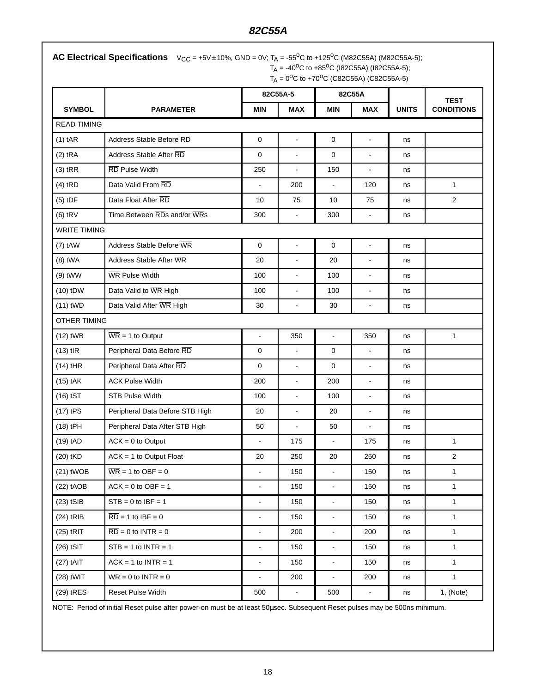## **82C55A**

| <b>AC Electrical Specifications</b> $V_{CC} = +5V \pm 10\%$ , GND = 0V; T <sub>A</sub> = -55 <sup>o</sup> C to +125 <sup>o</sup> C (M82C55A) (M82C55A-5); |
|-----------------------------------------------------------------------------------------------------------------------------------------------------------|
| $T_A$ = -40 <sup>o</sup> C to +85 <sup>o</sup> C (182C55A) (182C55A-5);                                                                                   |
| $T_A = 0^{\circ}C$ to +70 <sup>o</sup> C (C82C55A) (C82C55A-5)                                                                                            |

|                     |                                       | 82C55A-5       |                          | 82C55A         |                          |              | <b>TEST</b>       |
|---------------------|---------------------------------------|----------------|--------------------------|----------------|--------------------------|--------------|-------------------|
| <b>SYMBOL</b>       | <b>PARAMETER</b>                      | <b>MIN</b>     | <b>MAX</b>               | <b>MIN</b>     | <b>MAX</b>               | <b>UNITS</b> | <b>CONDITIONS</b> |
| <b>READ TIMING</b>  |                                       |                |                          |                |                          |              |                   |
| $(1)$ tAR           | Address Stable Before RD              | $\mathbf 0$    | $\blacksquare$           | 0              | $\blacksquare$           | ns           |                   |
| $(2)$ tRA           | Address Stable After RD               | 0              | $\mathbf{r}$             | 0              | L.                       | ns           |                   |
| $(3)$ tRR           | RD Pulse Width                        | 250            |                          | 150            | $\overline{\phantom{a}}$ | ns           |                   |
| $(4)$ tRD           | Data Valid From RD                    |                | 200                      | $\blacksquare$ | 120                      | ns           | $\mathbf{1}$      |
| $(5)$ tDF           | Data Float After RD                   | 10             | 75                       | 10             | 75                       | ns           | $\overline{2}$    |
| $(6)$ tRV           | Time Between RDs and/or WRs           | 300            | $\blacksquare$           | 300            | ä,                       | ns           |                   |
| <b>WRITE TIMING</b> |                                       |                |                          |                |                          |              |                   |
| $(7)$ tAW           | Address Stable Before WR              | $\mathbf 0$    | $\Box$                   | $\mathbf{0}$   | $\blacksquare$           | ns           |                   |
| $(8)$ tWA           | Address Stable After WR               | 20             | $\blacksquare$           | 20             | ÷,                       | ns           |                   |
| $(9)$ tWW           | <b>WR Pulse Width</b>                 | 100            | $\blacksquare$           | 100            | $\blacksquare$           | ns           |                   |
| $(10)$ tDW          | Data Valid to WR High                 | 100            | $\blacksquare$           | 100            | ÷,                       | ns           |                   |
| $(11)$ tWD          | Data Valid After WR High              | 30             | $\blacksquare$           | 30             | $\blacksquare$           | ns           |                   |
| <b>OTHER TIMING</b> |                                       |                |                          |                |                          |              |                   |
| $(12)$ tWB          | $\overline{\text{WR}}$ = 1 to Output  | $\overline{a}$ | 350                      | $\Box$         | 350                      | ns           | $\mathbf{1}$      |
| $(13)$ tlR          | Peripheral Data Before RD             | $\mathbf 0$    | $\overline{\phantom{a}}$ | $\mathbf 0$    | $\blacksquare$           | ns           |                   |
| $(14)$ tHR          | Peripheral Data After RD              | $\mathbf 0$    | $\blacksquare$           | $\mathbf 0$    | $\blacksquare$           | ns           |                   |
| $(15)$ tAK          | <b>ACK Pulse Width</b>                | 200            | $\blacksquare$           | 200            | $\blacksquare$           | ns           |                   |
| $(16)$ tST          | <b>STB Pulse Width</b>                | 100            | $\blacksquare$           | 100            | $\blacksquare$           | ns           |                   |
| $(17)$ tPS          | Peripheral Data Before STB High       | 20             | $\blacksquare$           | 20             | $\blacksquare$           | ns           |                   |
| (18) tPH            | Peripheral Data After STB High        | 50             | $\overline{a}$           | 50             | ä,                       | ns           |                   |
| $(19)$ tAD          | $ACK = 0$ to Output                   |                | 175                      | $\blacksquare$ | 175                      | ns           | $\mathbf{1}$      |
| (20) tKD            | $ACK = 1$ to Output Float             | 20             | 250                      | 20             | 250                      | ns           | $\overline{2}$    |
| $(21)$ tWOB         | $\overline{\text{WR}}$ = 1 to OBF = 0 |                | 150                      | $\blacksquare$ | 150                      | ns           | $\mathbf{1}$      |
| $(22)$ tAOB         | $ACK = 0$ to $OBF = 1$                | ÷.             | 150                      | $\blacksquare$ | 150                      | ns           | $\mathbf{1}$      |
| $(23)$ tSIB         | $STB = 0$ to $IBF = 1$                | $\blacksquare$ | 150                      | $\blacksquare$ | 150                      | ns           | $\mathbf{1}$      |
| $(24)$ tRIB         | $\overline{RD}$ = 1 to IBF = 0        | ÷.             | 150                      | $\blacksquare$ | 150                      | ns           | $\mathbf{1}$      |
| $(25)$ tRIT         | $\overline{RD} = 0$ to INTR = 0       | $\blacksquare$ | 200                      | $\blacksquare$ | 200                      | ns           | $\mathbf{1}$      |
| $(26)$ tSIT         | $STB = 1$ to $INTR = 1$               | $\blacksquare$ | 150                      | $\blacksquare$ | 150                      | ns           | $\mathbf{1}$      |
| $(27)$ tAIT         | $ACK = 1$ to $INTER = 1$              | $\blacksquare$ | 150                      | $\blacksquare$ | 150                      | ns           | $\mathbf{1}$      |
| $(28)$ tWIT         | $\overline{WR} = 0$ to INTR = 0       | ÷.             | 200                      | $\blacksquare$ | 200                      | ns           | $\mathbf{1}$      |
| (29) tRES           | Reset Pulse Width                     | 500            | $\blacksquare$           | 500            | ۰                        | ns           | 1, (Note)         |

NOTE: Period of initial Reset pulse after power-on must be at least 50µsec. Subsequent Reset pulses may be 500ns minimum.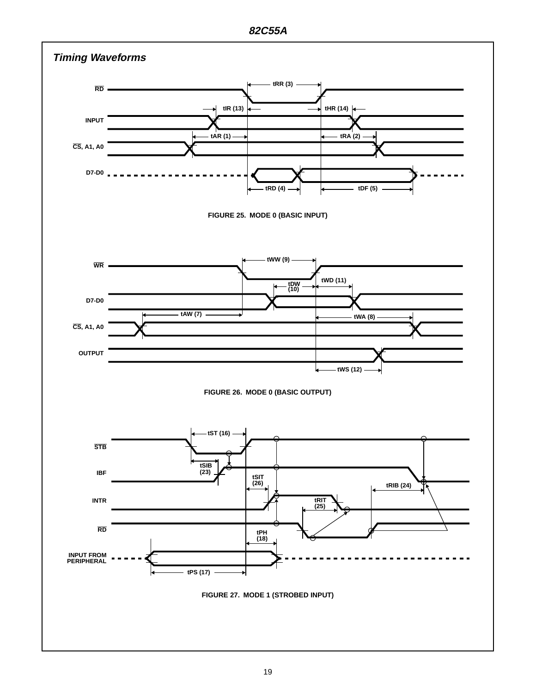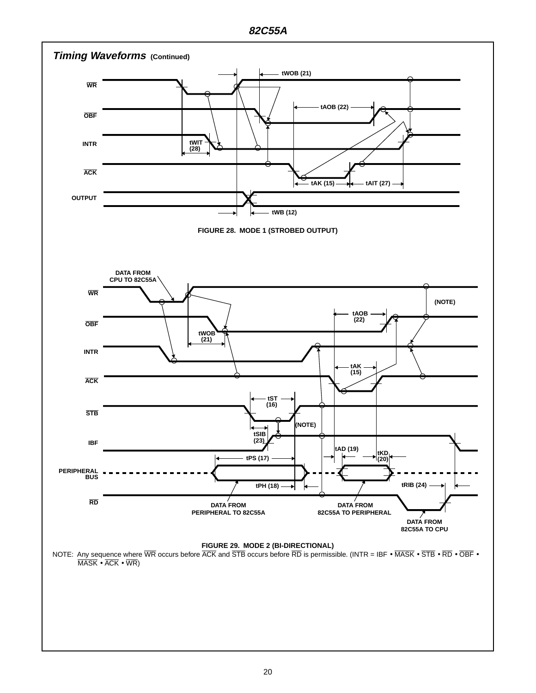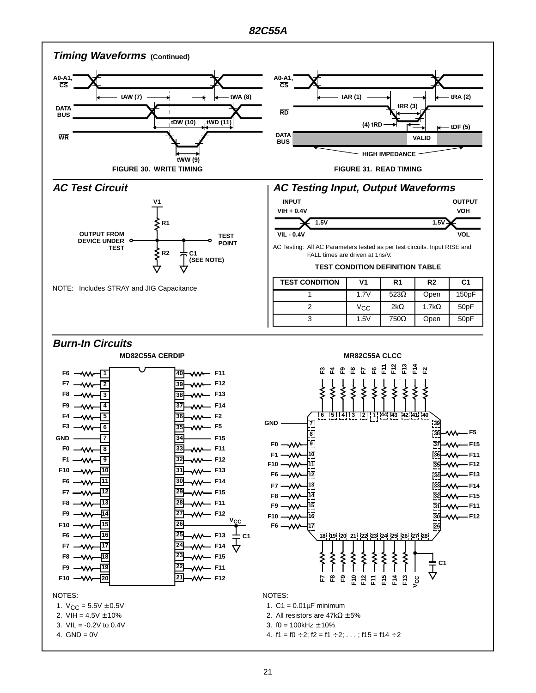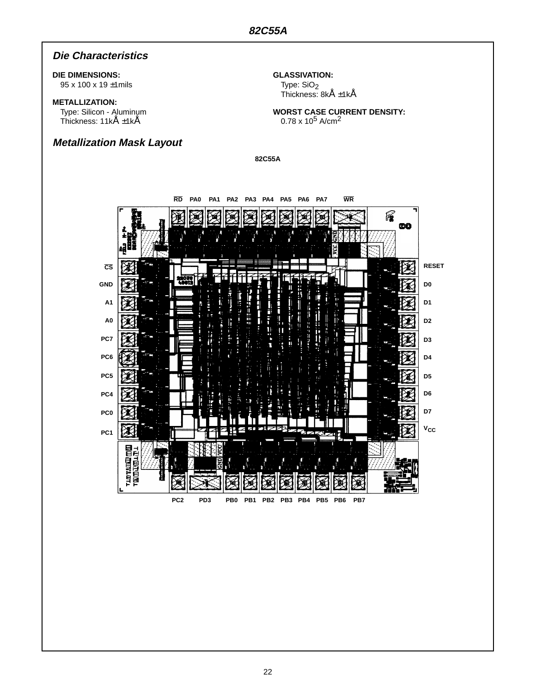## **Die Characteristics**

#### **DIE DIMENSIONS:**

95 x 100 x 19 ±1mils

### **METALLIZATION:**

Type: Silicon - Aluminum Thickness: 11kÅ ±1kÅ

## **Metallization Mask Layout**

**GLASSIVATION:** Type: SiO<sub>2</sub>

Thickness: 8kÅ ±1kÅ

**WORST CASE CURRENT DENSITY:**  $0.78 \times 10^5$  A/cm<sup>2</sup>

**82C55A**

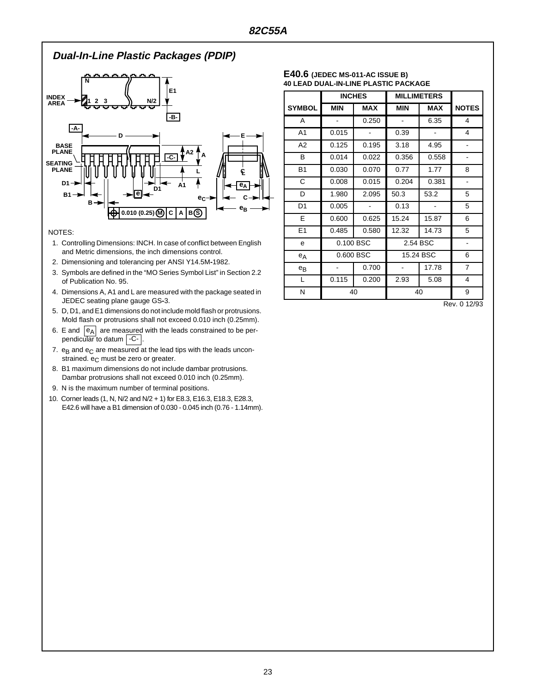## **Dual-In-Line Plastic Packages (PDIP)**



#### NOTES:

- 1. Controlling Dimensions: INCH. In case of conflict between English and Metric dimensions, the inch dimensions control.
- 2. Dimensioning and tolerancing per ANSI Y14.5M**-**1982.
- 3. Symbols are defined in the "MO Series Symbol List" in Section 2.2 of Publication No. 95.
- 4. Dimensions A, A1 and L are measured with the package seated in JEDEC seating plane gauge GS**-**3.
- 5. D, D1, and E1 dimensions do not include mold flash or protrusions. Mold flash or protrusions shall not exceed 0.010 inch (0.25mm).
- 6. E and  $|e_A|$  are measured with the leads constrained to be perpendicular to datum  $\vert$  -C- $\vert$ .
- 7.  $e_B$  and  $e_C$  are measured at the lead tips with the leads unconstrained.  $e_C$  must be zero or greater.
- 8. B1 maximum dimensions do not include dambar protrusions. Dambar protrusions shall not exceed 0.010 inch (0.25mm).
- 9. N is the maximum number of terminal positions.
- 10. Corner leads (1, N, N/2 and N/2 + 1) for E8.3, E16.3, E18.3, E28.3, E42.6 will have a B1 dimension of 0.030 - 0.045 inch (0.76 - 1.14mm).

#### **E40.6 (JEDEC MS-011-AC ISSUE B) 40 LEAD DUAL-IN-LINE PLASTIC PACKAGE**

|                | <b>INCHES</b> |            | <b>MILLIMETERS</b> |            |                              |
|----------------|---------------|------------|--------------------|------------|------------------------------|
| <b>SYMBOL</b>  | <b>MIN</b>    | <b>MAX</b> | <b>MIN</b>         | <b>MAX</b> | <b>NOTES</b>                 |
| A              |               | 0.250      |                    | 6.35       | 4                            |
| A <sub>1</sub> | 0.015         |            | 0.39               |            | 4                            |
| A2             | 0.125         | 0.195      | 3.18               | 4.95       |                              |
| B              | 0.014         | 0.022      | 0.356              | 0.558      | $\qquad \qquad \blacksquare$ |
| <b>B1</b>      | 0.030         | 0.070      | 0.77               | 1.77       | 8                            |
| C              | 0.008         | 0.015      | 0.204              | 0.381      |                              |
| D              | 1.980         | 2.095      | 50.3               | 53.2       | 5                            |
| D1             | 0.005         |            | 0.13               |            | 5                            |
| E              | 0.600         | 0.625      | 15.24              | 15.87      | 6                            |
| E1             | 0.485         | 0.580      | 12.32              | 14.73      | 5                            |
| e              | 0.100 BSC     |            | 2.54 BSC           |            |                              |
| $e_A$          | 0.600 BSC     |            | 15.24 BSC          |            | 6                            |
| $e_{B}$        |               | 0.700      |                    | 17.78      | $\overline{7}$               |
| L              | 0.115         | 0.200      | 2.93               | 5.08       | 4                            |
| N              | 40            |            | 40                 |            | 9                            |

Rev. 0 12/93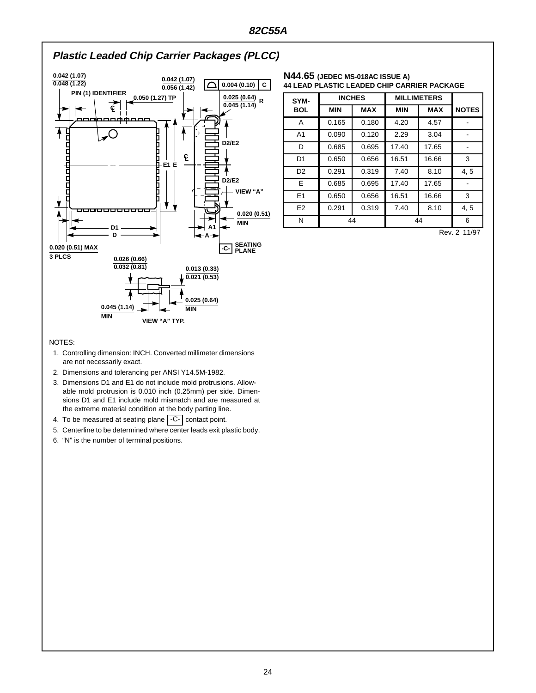

#### **N44.65 (JEDEC MS-018AC ISSUE A) 44 LEAD PLASTIC LEADED CHIP CARRIER PACKAGE**

| SYM-           | <b>INCHES</b> |            | <b>MILLIMETERS</b> |            |              |
|----------------|---------------|------------|--------------------|------------|--------------|
| <b>BOL</b>     | <b>MIN</b>    | <b>MAX</b> | <b>MIN</b>         | <b>MAX</b> | <b>NOTES</b> |
| A              | 0.165         | 0.180      | 4.20               | 4.57       |              |
| A <sub>1</sub> | 0.090         | 0.120      | 2.29               | 3.04       |              |
| D              | 0.685         | 0.695      | 17.40              | 17.65      |              |
| D <sub>1</sub> | 0.650         | 0.656      | 16.51              | 16.66      | 3            |
| D <sub>2</sub> | 0.291         | 0.319      | 7.40               | 8.10       | 4, 5         |
| E.             | 0.685         | 0.695      | 17.40              | 17.65      |              |
| E1             | 0.650         | 0.656      | 16.51              | 16.66      | 3            |
| E <sub>2</sub> | 0.291         | 0.319      | 7.40               | 8.10       | 4, 5         |
| N              | 44            |            | 44                 |            | 6            |

Rev. 2 11/97

#### NOTES:

- 1. Controlling dimension: INCH. Converted millimeter dimensions are not necessarily exact.
- 2. Dimensions and tolerancing per ANSI Y14.5M-1982.
- 3. Dimensions D1 and E1 do not include mold protrusions. Allowable mold protrusion is 0.010 inch (0.25mm) per side. Dimensions D1 and E1 include mold mismatch and are measured at the extreme material condition at the body parting line.
- 4. To be measured at seating plane  $\vert$  -C-  $\vert$  contact point.
- 5. Centerline to be determined where center leads exit plastic body.
- 6. "N" is the number of terminal positions.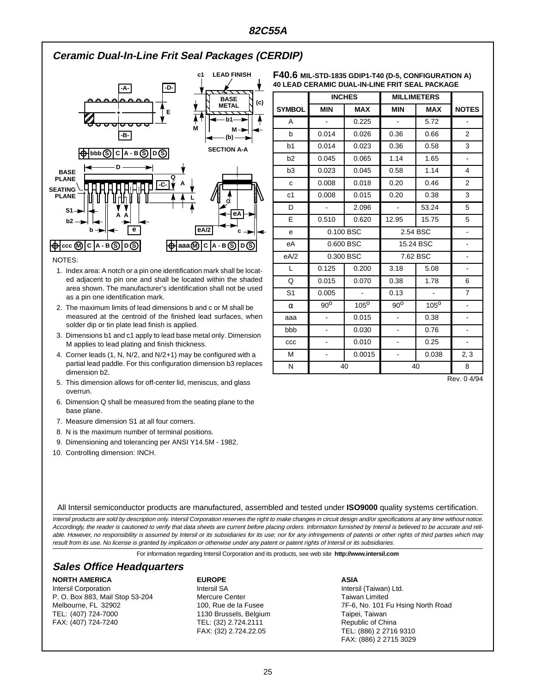## **Ceramic Dual-In-Line Frit Seal Packages (CERDIP)**



#### NOTES:

- 1. Index area: A notch or a pin one identification mark shall be located adjacent to pin one and shall be located within the shaded area shown. The manufacturer's identification shall not be used as a pin one identification mark.
- 2. The maximum limits of lead dimensions b and c or M shall be measured at the centroid of the finished lead surfaces, when solder dip or tin plate lead finish is applied.
- 3. Dimensions b1 and c1 apply to lead base metal only. Dimension M applies to lead plating and finish thickness.
- 4. Corner leads (1, N, N/2, and N/2+1) may be configured with a partial lead paddle. For this configuration dimension b3 replaces dimension b2.
- 5. This dimension allows for off-center lid, meniscus, and glass overrun.
- 6. Dimension Q shall be measured from the seating plane to the base plane.
- 7. Measure dimension S1 at all four corners.
- 8. N is the maximum number of terminal positions.
- 9. Dimensioning and tolerancing per ANSI Y14.5M 1982.
- 10. Controlling dimension: INCH.

| F40.6 MIL-STD-1835 GDIP1-T40 (D-5, CONFIGURATION A) |
|-----------------------------------------------------|
| 40 LEAD CERAMIC DUAL-IN-LINE FRIT SEAL PACKAGE      |

| <b>INCHES</b>  |                          | <b>MILLIMETERS</b> |                |                |                          |
|----------------|--------------------------|--------------------|----------------|----------------|--------------------------|
| <b>SYMBOL</b>  | <b>MIN</b>               | <b>MAX</b>         | <b>MIN</b>     | <b>MAX</b>     | <b>NOTES</b>             |
| Α              | $\blacksquare$           | 0.225              | $\blacksquare$ | 5.72           |                          |
| b              | 0.014                    | 0.026              | 0.36           | 0.66           | $\overline{2}$           |
| b1             | 0.014                    | 0.023              | 0.36           | 0.58           | 3                        |
| b2             | 0.045                    | 0.065              | 1.14           | 1.65           | $\blacksquare$           |
| b <sub>3</sub> | 0.023                    | 0.045              | 0.58           | 1.14           | 4                        |
| $\mathbf c$    | 0.008                    | 0.018              | 0.20           | 0.46           | $\overline{2}$           |
| c1             | 0.008                    | 0.015              | 0.20           | 0.38           | 3                        |
| D              | $\omega$                 | 2.096              | $\blacksquare$ | 53.24          | 5                        |
| E              | 0.510                    | 0.620              | 12.95          | 15.75          | 5                        |
| e              |                          | 0.100 BSC          | 2.54 BSC       |                | ÷,                       |
| eA             | 0.600 BSC                |                    | 15.24 BSC      |                | ÷,                       |
| eA/2           |                          | 0.300 BSC          | 7.62 BSC       |                | $\blacksquare$           |
| L              | 0.125                    | 0.200              | 3.18<br>5.08   |                | $\frac{1}{2}$            |
| Q              | 0.015                    | 0.070              | 0.38           | 1.78           | 6                        |
| S <sub>1</sub> | 0.005                    | $\mathbb{Z}^2$     | 0.13           | $\blacksquare$ | $\overline{7}$           |
| $\alpha$       | $90^{\circ}$             | $105^{\circ}$      | $90^{\circ}$   | $105^{\circ}$  | $\overline{\phantom{a}}$ |
| aaa            | $\frac{1}{2}$            | 0.015              | $\Box$         | 0.38           | $\frac{1}{2}$            |
| bbb            | $\overline{\phantom{0}}$ | 0.030              | -              | 0.76           | $\blacksquare$           |
| CCC            | ÷                        | 0.010              |                | 0.25           | $\overline{\phantom{a}}$ |
| M              | $\overline{\phantom{0}}$ | 0.0015             |                | 0.038          | 2, 3                     |
| N              | 40                       |                    | 40             |                | 8                        |

Rev. 0 4/94

All Intersil semiconductor products are manufactured, assembled and tested under **ISO9000** quality systems certification.

Intersil products are sold by description only. Intersil Corporation reserves the right to make changes in circuit design and/or specifications at any time without notice. Accordingly, the reader is cautioned to verify that data sheets are current before placing orders. Information furnished by Intersil is believed to be accurate and reliable. However, no responsibility is assumed by Intersil or its subsidiaries for its use; nor for any infringements of patents or other rights of third parties which may result from its use. No license is granted by implication or otherwise under any patent or patent rights of Intersil or its subsidiaries.

For information regarding Intersil Corporation and its products, see web site **http://www.intersil.com**

## **Sales Office Headquarters**

#### **NORTH AMERICA**

Intersil Corporation P. O. Box 883, Mail Stop 53-204 Melbourne, FL 32902 TEL: (407) 724-7000 FAX: (407) 724-7240

#### **EUROPE**

Intersil SA Mercure Center 100, Rue de la Fusee 1130 Brussels, Belgium TEL: (32) 2.724.2111 FAX: (32) 2.724.22.05

#### **ASIA**

Intersil (Taiwan) Ltd. Taiwan Limited 7F-6, No. 101 Fu Hsing North Road Taipei, Taiwan Republic of China TEL: (886) 2 2716 9310 FAX: (886) 2 2715 3029